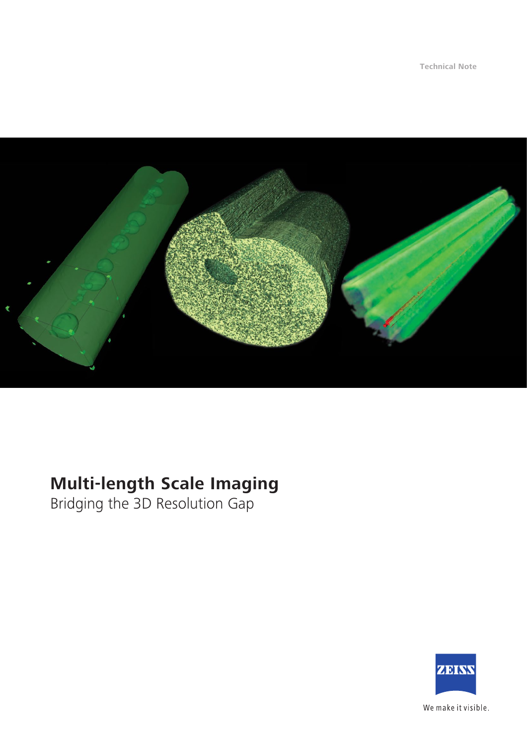**Technical Note**



# **Multi-length Scale Imaging**

Bridging the 3D Resolution Gap



We make it visible.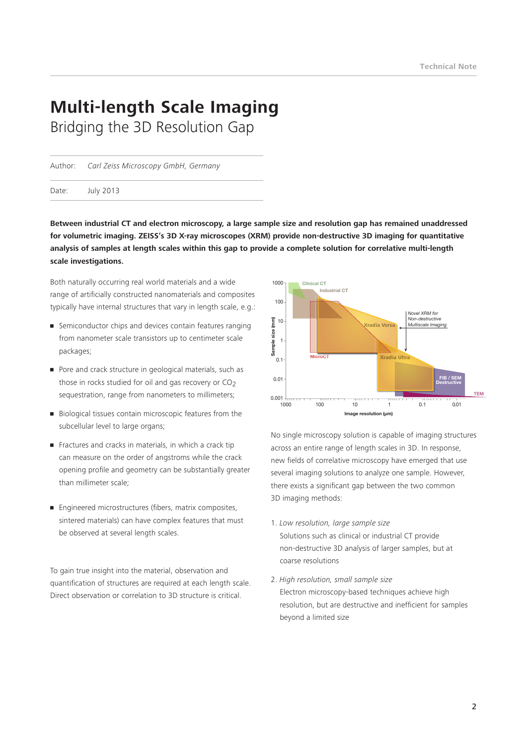# **Multi-length Scale Imaging** Bridging the 3D Resolution Gap

Author: *Carl Zeiss Microscopy GmbH, Germany*

Date: July 2013

**Between industrial CT and electron microscopy, a large sample size and resolution gap has remained unaddressed for volumetric imaging. ZEISS's 3D X-ray microscopes (XRM) provide non-destructive 3D imaging for quantitative analysis of samples at length scales within this gap to provide a complete solution for correlative multi-length scale investigations.**

Both naturally occurring real world materials and a wide range of artificially constructed nanomaterials and composites typically have internal structures that vary in length scale, e.g.:

- Semiconductor chips and devices contain features ranging from nanometer scale transistors up to centimeter scale packages;
- Pore and crack structure in geological materials, such as those in rocks studied for oil and gas recovery or  $CO<sub>2</sub>$ sequestration, range from nanometers to millimeters:
- Biological tissues contain microscopic features from the subcellular level to large organs;
- Fractures and cracks in materials, in which a crack tip can measure on the order of angstroms while the crack opening profile and geometry can be substantially greater than millimeter scale;
- Engineered microstructures (fibers, matrix composites, sintered materials) can have complex features that must be observed at several length scales.

To gain true insight into the material, observation and quantification of structures are required at each length scale. Direct observation or correlation to 3D structure is critical.



No single microscopy solution is capable of imaging structures across an entire range of length scales in 3D. In response, new fields of correlative microscopy have emerged that use several imaging solutions to analyze one sample. However, there exists a significant gap between the two common 3D imaging methods:

- 1. *Low resolution, large sample size* Solutions such as clinical or industrial CT provide non-destructive 3D analysis of larger samples, but at coarse resolutions
- 2. *High resolution, small sample size* Electron microscopy-based techniques achieve high resolution, but are destructive and inefficient for samples beyond a limited size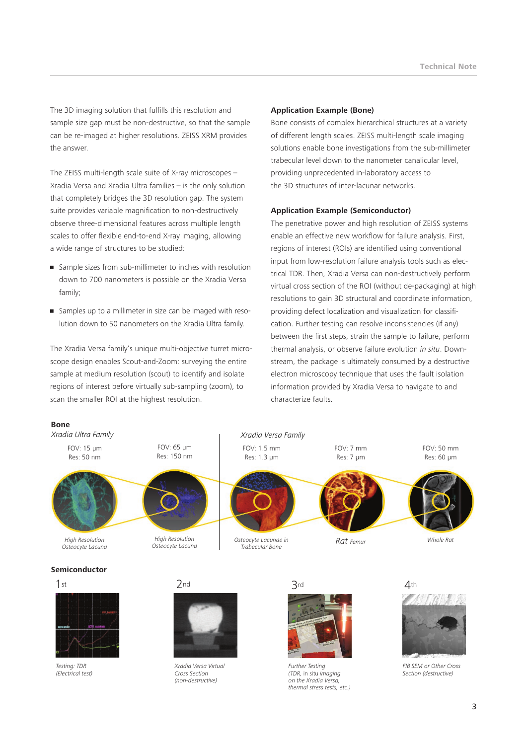The 3D imaging solution that fulfills this resolution and sample size gap must be non-destructive, so that the sample can be re-imaged at higher resolutions. ZEISS XRM provides the answer.

The ZEISS multi-length scale suite of X-ray microscopes – Xradia Versa and Xradia Ultra families – is the only solution that completely bridges the 3D resolution gap. The system suite provides variable magnification to non-destructively observe three-dimensional features across multiple length scales to offer flexible end-to-end X-ray imaging, allowing a wide range of structures to be studied:

- Sample sizes from sub-millimeter to inches with resolution down to 700 nanometers is possible on the Xradia Versa family;
- Samples up to a millimeter in size can be imaged with resolution down to 50 nanometers on the Xradia Ultra family.

The Xradia Versa family's unique multi-objective turret microscope design enables Scout-and-Zoom: surveying the entire sample at medium resolution (scout) to identify and isolate regions of interest before virtually sub-sampling (zoom), to scan the smaller ROI at the highest resolution.

#### **Application Example (Bone)**

Bone consists of complex hierarchical structures at a variety of different length scales. ZEISS multi-length scale imaging solutions enable bone investigations from the sub-millimeter trabecular level down to the nanometer canalicular level, providing unprecedented in-laboratory access to the 3D structures of inter-lacunar networks.

### **Application Example (Semiconductor)**

The penetrative power and high resolution of ZEISS systems enable an effective new workflow for failure analysis. First, regions of interest (ROIs) are identified using conventional input from low-resolution failure analysis tools such as electrical TDR. Then, Xradia Versa can non-destructively perform virtual cross section of the ROI (without de-packaging) at high resolutions to gain 3D structural and coordinate information, providing defect localization and visualization for classification. Further testing can resolve inconsistencies (if any) between the first steps, strain the sample to failure, perform thermal analysis, or observe failure evolution *in situ*. Downstream, the package is ultimately consumed by a destructive electron microscopy technique that uses the fault isolation information provided by Xradia Versa to navigate to and characterize faults.

**Bone**



#### **Semiconductor**

1st



*Testing: TDR (Electrical test)*

2nd



*Xradia Versa Virtual Cross Section (non-destructive)*

3rd



*Further Testing (TDR,* in situ *imaging on the Xradia Versa, thermal stress tests, etc.)* 

 $4th$ 



*FIB SEM or Other Cross Section (destructive)*